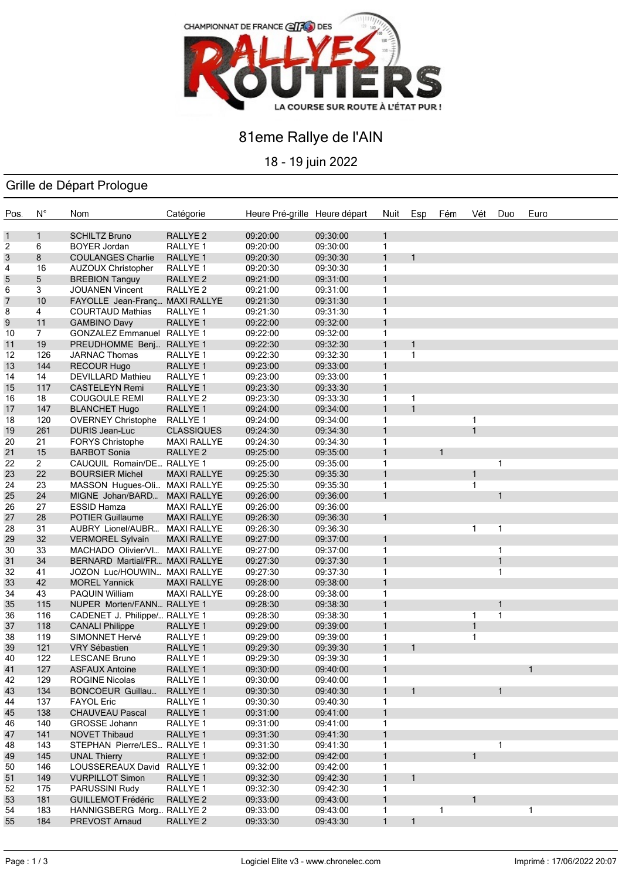

## 81eme Rallye de l'AIN

18 - 19 juin 2022

### Grille de Départ Prologue

| Pos. | $N^{\circ}$    | Nom                           | Catégorie           | Heure Pré-grille Heure départ |          | Nuit         | Esp          | Fém          | Vét          | Duo          | Euro |
|------|----------------|-------------------------------|---------------------|-------------------------------|----------|--------------|--------------|--------------|--------------|--------------|------|
| 1    | $\mathbf{1}$   | <b>SCHILTZ Bruno</b>          | RALLYE <sub>2</sub> | 09:20:00                      | 09:30:00 | $\mathbf{1}$ |              |              |              |              |      |
| 2    | 6              | <b>BOYER Jordan</b>           | RALLYE <sub>1</sub> | 09:20:00                      | 09:30:00 | $\mathbf{1}$ |              |              |              |              |      |
| 3    | 8              | <b>COULANGES Charlie</b>      | RALLYE <sub>1</sub> | 09:20:30                      | 09:30:30 | $\mathbf{1}$ | $\mathbf{1}$ |              |              |              |      |
| 4    | 16             | <b>AUZOUX Christopher</b>     | RALLYE 1            | 09:20:30                      | 09:30:30 | 1            |              |              |              |              |      |
| 5    | 5              | <b>BREBION Tanguy</b>         | RALLYE <sub>2</sub> | 09:21:00                      | 09:31:00 | $\mathbf{1}$ |              |              |              |              |      |
| 6    | 3              | <b>JOUANEN Vincent</b>        | RALLYE <sub>2</sub> | 09:21:00                      | 09:31:00 | 1            |              |              |              |              |      |
| 7    | 10             | FAYOLLE Jean-Franç            | <b>MAXI RALLYE</b>  | 09:21:30                      | 09:31:30 | $\mathbf{1}$ |              |              |              |              |      |
| 8    | 4              | <b>COURTAUD Mathias</b>       | RALLYE <sub>1</sub> | 09:21:30                      | 09:31:30 | 1            |              |              |              |              |      |
| 9    | 11             | <b>GAMBINO Davy</b>           | RALLYE 1            | 09:22:00                      | 09:32:00 | 1            |              |              |              |              |      |
| 10   | 7              | <b>GONZALEZ Emmanuel</b>      | RALLYE 1            | 09:22:00                      | 09:32:00 | 1            |              |              |              |              |      |
| 11   | 19             | PREUDHOMME Benj               | RALLYE <sub>1</sub> | 09:22:30                      | 09:32:30 | $\mathbf{1}$ | $\mathbf{1}$ |              |              |              |      |
| 12   | 126            | <b>JARNAC Thomas</b>          | RALLYE 1            | 09:22:30                      | 09:32:30 | $\mathbf{1}$ | $\mathbf{1}$ |              |              |              |      |
| 13   | 144            | <b>RECOUR Hugo</b>            | RALLYE 1            | 09:23:00                      | 09:33:00 | $\mathbf{1}$ |              |              |              |              |      |
| 14   | 14             | DEVILLARD Mathieu             | RALLYE 1            | 09:23:00                      | 09:33:00 | $\mathbf{1}$ |              |              |              |              |      |
| 15   | 117            | <b>CASTELEYN Remi</b>         | RALLYE <sub>1</sub> | 09:23:30                      | 09:33:30 | $\mathbf{1}$ |              |              |              |              |      |
| 16   | 18             | <b>COUGOULE REMI</b>          | RALLYE 2            | 09:23:30                      | 09:33:30 | 1            | $\mathbf{1}$ |              |              |              |      |
| 17   | 147            | <b>BLANCHET Hugo</b>          | RALLYE <sub>1</sub> | 09:24:00                      | 09:34:00 | $\mathbf{1}$ | $\mathbf{1}$ |              |              |              |      |
| 18   | 120            | <b>OVERNEY Christophe</b>     | RALLYE 1            | 09:24:00                      | 09:34:00 | 1            |              |              | $\mathbf{1}$ |              |      |
| 19   | 261            | <b>DURIS Jean-Luc</b>         | <b>CLASSIQUES</b>   | 09:24:30                      | 09:34:30 | $\mathbf{1}$ |              |              | $\mathbf{1}$ |              |      |
| 20   | 21             | <b>FORYS Christophe</b>       | <b>MAXI RALLYE</b>  | 09:24:30                      | 09:34:30 | 1            |              |              |              |              |      |
| 21   | 15             | <b>BARBOT Sonia</b>           | RALLYE <sub>2</sub> | 09:25:00                      | 09:35:00 | 1            |              | $\mathbf{1}$ |              |              |      |
| 22   | $\overline{2}$ | CAUQUIL Romain/DE RALLYE 1    |                     | 09:25:00                      | 09:35:00 | 1            |              |              |              | 1            |      |
| 23   | 22             | <b>BOURSIER Michel</b>        | <b>MAXI RALLYE</b>  | 09:25:30                      | 09:35:30 | $\mathbf{1}$ |              |              | 1            |              |      |
| 24   | 23             | MASSON Hugues-Oli             | <b>MAXI RALLYE</b>  | 09:25:30                      | 09:35:30 | 1            |              |              | 1            |              |      |
| 25   | 24             | MIGNE Johan/BARD              | <b>MAXI RALLYE</b>  | 09:26:00                      | 09:36:00 | $\mathbf{1}$ |              |              |              | $\mathbf{1}$ |      |
| 26   | 27             | <b>ESSID Hamza</b>            | <b>MAXI RALLYE</b>  | 09:26:00                      | 09:36:00 |              |              |              |              |              |      |
| 27   | 28             | <b>POTIER Guillaume</b>       | <b>MAXI RALLYE</b>  | 09:26:30                      | 09:36:30 | $\mathbf{1}$ |              |              |              |              |      |
| 28   | 31             | AUBRY Lionel/AUBR             | <b>MAXI RALLYE</b>  | 09:26:30                      | 09:36:30 |              |              |              | 1            | 1            |      |
| 29   | 32             | <b>VERMOREL Sylvain</b>       | <b>MAXI RALLYE</b>  | 09:27:00                      | 09:37:00 | $\mathbf{1}$ |              |              |              |              |      |
| 30   | 33             | MACHADO Olivier/VI            | <b>MAXI RALLYE</b>  | 09:27:00                      | 09:37:00 | 1            |              |              |              | 1            |      |
| 31   | 34             | <b>BERNARD Martial/FR</b>     | <b>MAXI RALLYE</b>  | 09:27:30                      | 09:37:30 | 1            |              |              |              | 1            |      |
| 32   | 41             | JOZON Luc/HOUWIN MAXI RALLYE  |                     | 09:27:30                      | 09:37:30 | 1            |              |              |              | 1            |      |
| 33   | 42             | <b>MOREL Yannick</b>          | <b>MAXI RALLYE</b>  | 09:28:00                      | 09:38:00 | $\mathbf{1}$ |              |              |              |              |      |
| 34   | 43             | <b>PAQUIN William</b>         | <b>MAXI RALLYE</b>  | 09:28:00                      | 09:38:00 | 1            |              |              |              |              |      |
| 35   | 115            | NUPER Morten/FANN RALLYE 1    |                     | 09:28:30                      | 09:38:30 | $\mathbf{1}$ |              |              |              | 1            |      |
| 36   | 116            | CADENET J. Philippe/ RALLYE 1 |                     | 09:28:30                      | 09:38:30 | 1            |              |              | $\mathbf{1}$ | 1            |      |
| 37   | 118            | <b>CANALI Philippe</b>        | RALLYE <sub>1</sub> | 09:29:00                      | 09:39:00 | $\mathbf{1}$ |              |              | $\mathbf{1}$ |              |      |
| 38   | 119            | SIMONNET Hervé                | RALLYE 1            | 09:29:00                      | 09:39:00 | 1            |              |              | $\mathbf{1}$ |              |      |
| 39   | 121            | VRY Sébastien                 | RALLYE <sub>1</sub> | 09:29:30                      | 09:39:30 | 1            | $\mathbf{1}$ |              |              |              |      |
| 40   | 122            | <b>LESCANE Bruno</b>          | RALLYE 1            | 09:29:30                      | 09:39:30 | 1            |              |              |              |              |      |
| 41   | 127            | <b>ASFAUX Antoine</b>         | RALLYE 1            | 09:30:00                      | 09:40:00 | $\mathbf{1}$ |              |              |              |              |      |
| 42   | 129            | <b>ROGINE Nicolas</b>         | RALLYE 1            | 09:30:00                      | 09:40:00 | 1            |              |              |              |              |      |
| 43   | 134            | <b>BONCOEUR Guillau</b>       | RALLYE 1            | 09:30:30                      | 09:40:30 | 1            | $\mathbf{1}$ |              |              | 1            |      |
| 44   | 137            | <b>FAYOL Eric</b>             | RALLYE 1            | 09:30:30                      | 09:40:30 | 1            |              |              |              |              |      |
| 45   | 138            | <b>CHAUVEAU Pascal</b>        | RALLYE 1            | 09:31:00                      | 09:41:00 | 1            |              |              |              |              |      |
| 46   | 140            | GROSSE Johann                 | RALLYE 1            | 09:31:00                      | 09:41:00 | 1            |              |              |              |              |      |
| 47   | 141            | NOVET Thibaud                 | RALLYE 1            | 09:31:30                      | 09:41:30 | 1            |              |              |              |              |      |
| 48   | 143            | STEPHAN Pierre/LES RALLYE 1   |                     | 09:31:30                      | 09:41:30 | 1            |              |              |              | 1            |      |
| 49   | 145            | <b>UNAL Thierry</b>           | RALLYE 1            | 09:32:00                      | 09:42:00 | 1            |              |              | 1            |              |      |
| 50   | 146            | LOUSSEREAUX David             | RALLYE 1            | 09:32:00                      | 09:42:00 | 1            |              |              |              |              |      |
| 51   | 149            | <b>VURPILLOT Simon</b>        | RALLYE 1            | 09:32:30                      | 09:42:30 | 1            | $\mathbf 1$  |              |              |              |      |
| 52   | 175            | PARUSSINI Rudy                | RALLYE 1            | 09:32:30                      | 09:42:30 | 1            |              |              |              |              |      |
| 53   | 181            | <b>GUILLEMOT Frédéric</b>     | RALLYE <sub>2</sub> | 09:33:00                      | 09:43:00 | 1            |              |              | 1            |              |      |
| 54   | 183            | HANNIGSBERG Morg              | RALLYE <sub>2</sub> | 09:33:00                      | 09:43:00 | 1            |              | 1            |              |              | 1    |
| 55   | 184            | PREVOST Arnaud                | RALLYE <sub>2</sub> | 09:33:30                      | 09:43:30 | $\mathbf{1}$ | $\mathbf{1}$ |              |              |              |      |
|      |                |                               |                     |                               |          |              |              |              |              |              |      |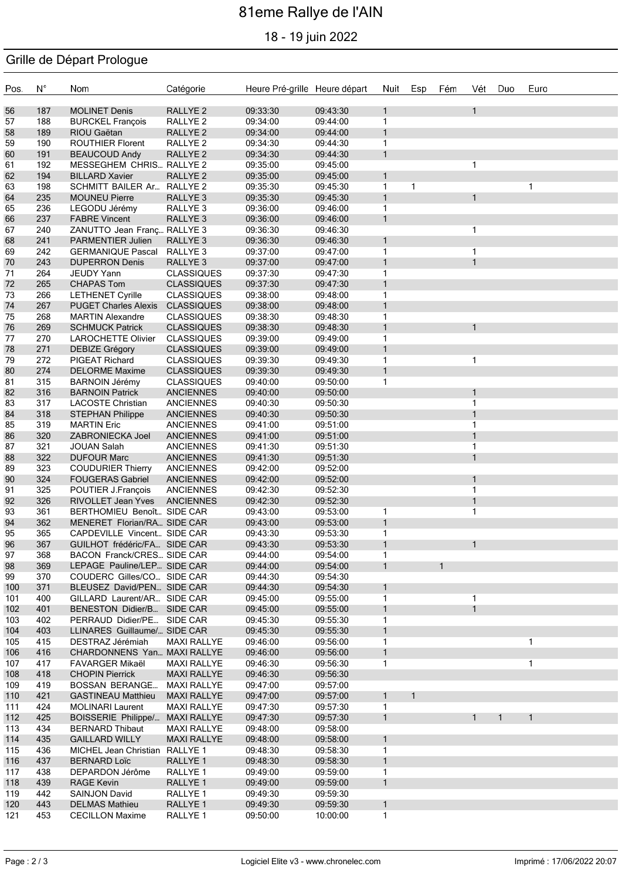# 81eme Rallye de l'AIN

18 - 19 juin 2022

### Grille de Départ Prologue

| Pos.       | $N^{\circ}$ | Nom                                                       | Catégorie                                | Heure Pré-grille Heure départ |                      | Nuit              | Esp | Fém          | Vét            | Duo          | Euro         |
|------------|-------------|-----------------------------------------------------------|------------------------------------------|-------------------------------|----------------------|-------------------|-----|--------------|----------------|--------------|--------------|
| 56         | 187         | <b>MOLINET Denis</b>                                      | RALLYE <sub>2</sub>                      | 09:33:30                      | 09:43:30             | $\mathbf{1}$      |     |              | $\mathbf{1}$   |              |              |
| 57         | 188         | <b>BURCKEL François</b>                                   | RALLYE <sub>2</sub>                      | 09:34:00                      | 09:44:00             | 1                 |     |              |                |              |              |
| 58         | 189         | RIOU Gaëtan                                               | RALLYE <sub>2</sub>                      | 09:34:00                      | 09:44:00             | $\mathbf{1}$      |     |              |                |              |              |
| 59         | 190         | <b>ROUTHIER Florent</b>                                   | RALLYE <sub>2</sub>                      | 09:34:30                      | 09:44:30             | 1                 |     |              |                |              |              |
| 60         | 191         | <b>BEAUCOUD Andy</b>                                      | RALLYE <sub>2</sub>                      | 09:34:30                      | 09:44:30             | $\mathbf{1}$      |     |              |                |              |              |
| 61         | 192         | MESSEGHEM CHRIS RALLYE 2                                  |                                          | 09:35:00                      | 09:45:00             |                   |     |              | $\mathbf{1}$   |              |              |
| 62         | 194         | <b>BILLARD Xavier</b>                                     | RALLYE <sub>2</sub>                      | 09:35:00                      | 09:45:00             | $\mathbf{1}$      | 1   |              |                |              |              |
| 63<br>64   | 198<br>235  | SCHMITT BAILER Ar RALLYE 2<br><b>MOUNEU Pierre</b>        | RALLYE 3                                 | 09:35:30<br>09:35:30          | 09:45:30<br>09:45:30 | 1<br>$\mathbf{1}$ |     |              | $\mathbf{1}$   |              | 1            |
| 65         | 236         | LEGODU Jérémy                                             | RALLYE <sub>3</sub>                      | 09:36:00                      | 09:46:00             | 1                 |     |              |                |              |              |
| 66         | 237         | <b>FABRE Vincent</b>                                      | RALLYE 3                                 | 09:36:00                      | 09:46:00             | $\mathbf{1}$      |     |              |                |              |              |
| 67         | 240         | ZANUTTO Jean Franç RALLYE 3                               |                                          | 09:36:30                      | 09:46:30             |                   |     |              | $\mathbf{1}$   |              |              |
| 68         | 241         | PARMENTIER Julien                                         | RALLYE <sub>3</sub>                      | 09:36:30                      | 09:46:30             | $\mathbf{1}$      |     |              |                |              |              |
| 69         | 242         | <b>GERMANIQUE Pascal</b>                                  | RALLYE 3                                 | 09:37:00                      | 09:47:00             | 1                 |     |              | $\mathbf{1}$   |              |              |
| 70         | 243         | <b>DUPERRON Denis</b>                                     | RALLYE <sub>3</sub>                      | 09:37:00                      | 09:47:00             | $\mathbf{1}$      |     |              | $\mathbf{1}$   |              |              |
| 71         | 264         | JEUDY Yann                                                | <b>CLASSIQUES</b>                        | 09:37:30                      | 09:47:30             | 1                 |     |              |                |              |              |
| $72\,$     | 265         | <b>CHAPAS Tom</b>                                         | <b>CLASSIQUES</b>                        | 09:37:30                      | 09:47:30             | $\mathbf{1}$      |     |              |                |              |              |
| 73         | 266         | <b>LETHENET Cyrille</b>                                   | <b>CLASSIQUES</b>                        | 09:38:00                      | 09:48:00             | 1                 |     |              |                |              |              |
| 74         | 267         | PUGET Charles Alexis CLASSIQUES                           |                                          | 09:38:00                      | 09:48:00             | $\mathbf{1}$      |     |              |                |              |              |
| 75         | 268         | <b>MARTIN Alexandre</b>                                   | <b>CLASSIQUES</b>                        | 09:38:30                      | 09:48:30             | 1                 |     |              |                |              |              |
| 76         | 269         | <b>SCHMUCK Patrick</b>                                    | <b>CLASSIQUES</b>                        | 09:38:30                      | 09:48:30             | $\mathbf{1}$      |     |              | $\overline{1}$ |              |              |
| 77         | 270         | <b>LAROCHETTE Olivier</b>                                 | <b>CLASSIQUES</b>                        | 09:39:00                      | 09:49:00             | 1                 |     |              |                |              |              |
| 78         | 271         | <b>DEBIZE Grégory</b>                                     | <b>CLASSIQUES</b>                        | 09:39:00                      | 09:49:00             | $\mathbf{1}$      |     |              |                |              |              |
| 79         | 272         | PIGEAT Richard                                            | <b>CLASSIQUES</b>                        | 09:39:30                      | 09:49:30             | 1                 |     |              | $\mathbf{1}$   |              |              |
| 80         | 274         | <b>DELORME Maxime</b>                                     | <b>CLASSIQUES</b>                        | 09:39:30                      | 09:49:30             | $\mathbf{1}$      |     |              |                |              |              |
| 81         | 315         | <b>BARNOIN Jérémy</b>                                     | <b>CLASSIQUES</b>                        | 09:40:00                      | 09:50:00             | 1                 |     |              | $\mathbf{1}$   |              |              |
| 82<br>83   | 316<br>317  | <b>BARNOIN Patrick</b><br><b>LACOSTE Christian</b>        | <b>ANCIENNES</b><br><b>ANCIENNES</b>     | 09:40:00<br>09:40:30          | 09:50:00<br>09:50:30 |                   |     |              | $\mathbf{1}$   |              |              |
| 84         | 318         | <b>STEPHAN Philippe</b>                                   | <b>ANCIENNES</b>                         | 09:40:30                      | 09:50:30             |                   |     |              | $\overline{1}$ |              |              |
| 85         | 319         | <b>MARTIN Eric</b>                                        | <b>ANCIENNES</b>                         | 09:41:00                      | 09:51:00             |                   |     |              | $\mathbf{1}$   |              |              |
| 86         | 320         | ZABRONIECKA Joel                                          | <b>ANCIENNES</b>                         | 09:41:00                      | 09:51:00             |                   |     |              | $\mathbf{1}$   |              |              |
| 87         | 321         | JOUAN Salah                                               | <b>ANCIENNES</b>                         | 09:41:30                      | 09:51:30             |                   |     |              | $\mathbf{1}$   |              |              |
| 88         | 322         | <b>DUFOUR Marc</b>                                        | <b>ANCIENNES</b>                         | 09:41:30                      | 09:51:30             |                   |     |              | $\mathbf{1}$   |              |              |
| 89         | 323         | <b>COUDURIER Thierry</b>                                  | <b>ANCIENNES</b>                         | 09:42:00                      | 09:52:00             |                   |     |              |                |              |              |
| 90         | 324         | <b>FOUGERAS Gabriel</b>                                   | <b>ANCIENNES</b>                         | 09:42:00                      | 09:52:00             |                   |     |              | $\mathbf{1}$   |              |              |
| 91         | 325         | POUTIER J.François                                        | <b>ANCIENNES</b>                         | 09:42:30                      | 09:52:30             |                   |     |              | $\mathbf{1}$   |              |              |
| 92         | 326         | <b>RIVOLLET Jean Yves</b>                                 | <b>ANCIENNES</b>                         | 09:42:30                      | 09:52:30             |                   |     |              | $\mathbf{1}$   |              |              |
| 93         | 361         | BERTHOMIEU Benoît SIDE CAR                                |                                          | 09:43:00                      | 09:53:00             | 1                 |     |              | $\mathbf{1}$   |              |              |
| 94         | 362         | MENERET Florian/RA SIDE CAR                               |                                          | 09:43:00                      | 09:53:00             | $\mathbf{1}$      |     |              |                |              |              |
| 95         | 365         | CAPDEVILLE Vincent SIDE CAR                               |                                          | 09:43:30                      | 09:53:30             | 1                 |     |              |                |              |              |
| 96         | 367         | GUILHOT frédéric/FA SIDE CAR                              |                                          | 09:43:30                      | 09:53:30             | $\mathbf{1}$      |     |              | 1              |              |              |
| 97<br>98   | 368<br>369  | BACON Franck/CRES SIDE CAR<br>LEPAGE Pauline/LEP SIDE CAR |                                          | 09:44:00<br>09:44:00          | 09:54:00<br>09:54:00 | 1<br>$\mathbf{1}$ |     | $\mathbf{1}$ |                |              |              |
| 99         | 370         | COUDERC Gilles/CO SIDE CAR                                |                                          | 09:44:30                      | 09:54:30             |                   |     |              |                |              |              |
| 100        | 371         | BLEUSEZ David/PEN SIDE CAR                                |                                          | 09:44:30                      | 09:54:30             | $\mathbf{1}$      |     |              |                |              |              |
| 101        | 400         | GILLARD Laurent/AR SIDE CAR                               |                                          | 09:45:00                      | 09:55:00             | 1                 |     |              | 1              |              |              |
| 102        | 401         | BENESTON Didier/B SIDE CAR                                |                                          | 09:45:00                      | 09:55:00             | $\mathbf{1}$      |     |              | $\mathbf{1}$   |              |              |
| 103        | 402         | PERRAUD Didier/PE SIDE CAR                                |                                          | 09:45:30                      | 09:55:30             | 1                 |     |              |                |              |              |
| 104        | 403         | LLINARES Guillaume/ SIDE CAR                              |                                          | 09:45:30                      | 09:55:30             | 1                 |     |              |                |              |              |
| 105        | 415         | DESTRAZ Jérémiah                                          | <b>MAXI RALLYE</b>                       | 09:46:00                      | 09:56:00             | 1                 |     |              |                |              | 1            |
| 106        | 416         | CHARDONNENS Yan MAXI RALLYE                               |                                          | 09:46:00                      | 09:56:00             | $\mathbf{1}$      |     |              |                |              |              |
| 107        | 417         | FAVARGER Mikaël                                           | <b>MAXI RALLYE</b>                       | 09:46:30                      | 09:56:30             | 1                 |     |              |                |              | 1            |
| 108        | 418         | <b>CHOPIN Pierrick</b>                                    | <b>MAXI RALLYE</b>                       | 09:46:30                      | 09:56:30             |                   |     |              |                |              |              |
| 109        | 419         | <b>BOSSAN BERANGE</b>                                     | <b>MAXI RALLYE</b>                       | 09:47:00                      | 09:57:00             |                   |     |              |                |              |              |
| 110        | 421         | <b>GASTINEAU Matthieu</b>                                 | <b>MAXI RALLYE</b>                       | 09:47:00                      | 09:57:00             | 1                 | 1   |              |                |              |              |
| 111        | 424         | <b>MOLINARI Laurent</b>                                   | <b>MAXI RALLYE</b>                       | 09:47:30                      | 09:57:30             | 1                 |     |              |                |              |              |
| 112        | 425<br>434  | BOISSERIE Philippe/ MAXI RALLYE                           |                                          | 09:47:30<br>09:48:00          | 09:57:30<br>09:58:00 | $\mathbf{1}$      |     |              | $\mathbf{1}$   | $\mathbf{1}$ | $\mathbf{1}$ |
| 113<br>114 | 435         | <b>BERNARD Thibaut</b><br><b>GAILLARD WILLY</b>           | <b>MAXI RALLYE</b><br><b>MAXI RALLYE</b> | 09:48:00                      | 09:58:00             | 1                 |     |              |                |              |              |
| 115        | 436         | MICHEL Jean Christian RALLYE 1                            |                                          | 09:48:30                      | 09:58:30             | 1                 |     |              |                |              |              |
| 116        | 437         | <b>BERNARD Loïc</b>                                       | RALLYE 1                                 | 09:48:30                      | 09:58:30             | $\mathbf{1}$      |     |              |                |              |              |
| 117        | 438         | DEPARDON Jérôme                                           | RALLYE 1                                 | 09:49:00                      | 09:59:00             | 1                 |     |              |                |              |              |
| 118        | 439         | <b>RAGE Kevin</b>                                         | RALLYE <sub>1</sub>                      | 09:49:00                      | 09:59:00             | 1                 |     |              |                |              |              |
| 119        | 442         | SAINJON David                                             | RALLYE 1                                 | 09:49:30                      | 09:59:30             |                   |     |              |                |              |              |
| 120        | 443         | <b>DELMAS Mathieu</b>                                     | RALLYE 1                                 | 09:49:30                      | 09:59:30             | $\mathbf{1}$      |     |              |                |              |              |
| 121        | 453         | <b>CECILLON Maxime</b>                                    | RALLYE 1                                 | 09:50:00                      | 10:00:00             | $\mathbf{1}$      |     |              |                |              |              |